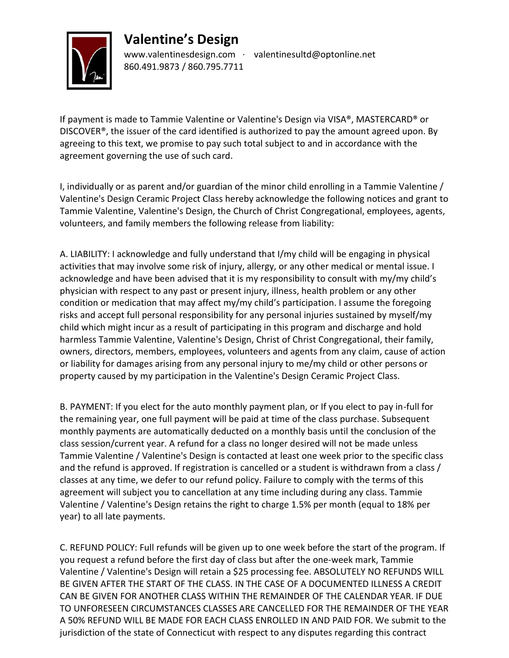## **Valentine's Design**



www.valentinesdesign.com ∙ valentinesultd@optonline.net 860.491.9873 / 860.795.7711

If payment is made to Tammie Valentine or Valentine's Design via VISA®, MASTERCARD® or DISCOVER®, the issuer of the card identified is authorized to pay the amount agreed upon. By agreeing to this text, we promise to pay such total subject to and in accordance with the agreement governing the use of such card.

I, individually or as parent and/or guardian of the minor child enrolling in a Tammie Valentine / Valentine's Design Ceramic Project Class hereby acknowledge the following notices and grant to Tammie Valentine, Valentine's Design, the Church of Christ Congregational, employees, agents, volunteers, and family members the following release from liability:

A. LIABILITY: I acknowledge and fully understand that I/my child will be engaging in physical activities that may involve some risk of injury, allergy, or any other medical or mental issue. I acknowledge and have been advised that it is my responsibility to consult with my/my child's physician with respect to any past or present injury, illness, health problem or any other condition or medication that may affect my/my child's participation. I assume the foregoing risks and accept full personal responsibility for any personal injuries sustained by myself/my child which might incur as a result of participating in this program and discharge and hold harmless Tammie Valentine, Valentine's Design, Christ of Christ Congregational, their family, owners, directors, members, employees, volunteers and agents from any claim, cause of action or liability for damages arising from any personal injury to me/my child or other persons or property caused by my participation in the Valentine's Design Ceramic Project Class.

B. PAYMENT: If you elect for the auto monthly payment plan, or If you elect to pay in-full for the remaining year, one full payment will be paid at time of the class purchase. Subsequent monthly payments are automatically deducted on a monthly basis until the conclusion of the class session/current year. A refund for a class no longer desired will not be made unless Tammie Valentine / Valentine's Design is contacted at least one week prior to the specific class and the refund is approved. If registration is cancelled or a student is withdrawn from a class / classes at any time, we defer to our refund policy. Failure to comply with the terms of this agreement will subject you to cancellation at any time including during any class. Tammie Valentine / Valentine's Design retains the right to charge 1.5% per month (equal to 18% per year) to all late payments.

C. REFUND POLICY: Full refunds will be given up to one week before the start of the program. If you request a refund before the first day of class but after the one-week mark, Tammie Valentine / Valentine's Design will retain a \$25 processing fee. ABSOLUTELY NO REFUNDS WILL BE GIVEN AFTER THE START OF THE CLASS. IN THE CASE OF A DOCUMENTED ILLNESS A CREDIT CAN BE GIVEN FOR ANOTHER CLASS WITHIN THE REMAINDER OF THE CALENDAR YEAR. IF DUE TO UNFORESEEN CIRCUMSTANCES CLASSES ARE CANCELLED FOR THE REMAINDER OF THE YEAR A 50% REFUND WILL BE MADE FOR EACH CLASS ENROLLED IN AND PAID FOR. We submit to the jurisdiction of the state of Connecticut with respect to any disputes regarding this contract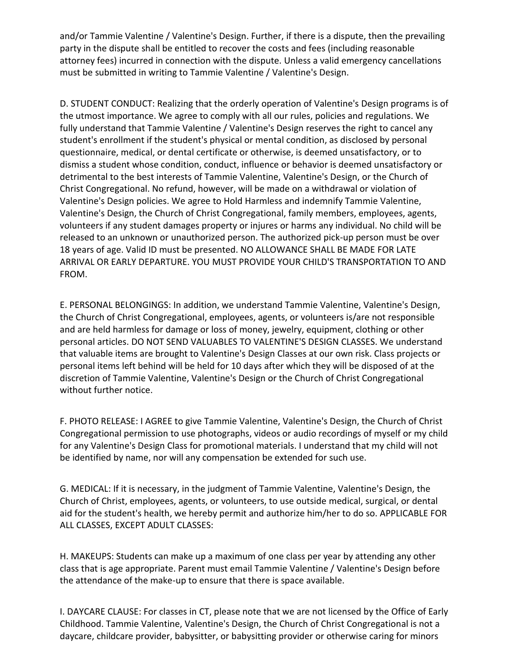and/or Tammie Valentine / Valentine's Design. Further, if there is a dispute, then the prevailing party in the dispute shall be entitled to recover the costs and fees (including reasonable attorney fees) incurred in connection with the dispute. Unless a valid emergency cancellations must be submitted in writing to Tammie Valentine / Valentine's Design.

D. STUDENT CONDUCT: Realizing that the orderly operation of Valentine's Design programs is of the utmost importance. We agree to comply with all our rules, policies and regulations. We fully understand that Tammie Valentine / Valentine's Design reserves the right to cancel any student's enrollment if the student's physical or mental condition, as disclosed by personal questionnaire, medical, or dental certificate or otherwise, is deemed unsatisfactory, or to dismiss a student whose condition, conduct, influence or behavior is deemed unsatisfactory or detrimental to the best interests of Tammie Valentine, Valentine's Design, or the Church of Christ Congregational. No refund, however, will be made on a withdrawal or violation of Valentine's Design policies. We agree to Hold Harmless and indemnify Tammie Valentine, Valentine's Design, the Church of Christ Congregational, family members, employees, agents, volunteers if any student damages property or injures or harms any individual. No child will be released to an unknown or unauthorized person. The authorized pick-up person must be over 18 years of age. Valid ID must be presented. NO ALLOWANCE SHALL BE MADE FOR LATE ARRIVAL OR EARLY DEPARTURE. YOU MUST PROVIDE YOUR CHILD'S TRANSPORTATION TO AND FROM.

E. PERSONAL BELONGINGS: In addition, we understand Tammie Valentine, Valentine's Design, the Church of Christ Congregational, employees, agents, or volunteers is/are not responsible and are held harmless for damage or loss of money, jewelry, equipment, clothing or other personal articles. DO NOT SEND VALUABLES TO VALENTINE'S DESIGN CLASSES. We understand that valuable items are brought to Valentine's Design Classes at our own risk. Class projects or personal items left behind will be held for 10 days after which they will be disposed of at the discretion of Tammie Valentine, Valentine's Design or the Church of Christ Congregational without further notice.

F. PHOTO RELEASE: I AGREE to give Tammie Valentine, Valentine's Design, the Church of Christ Congregational permission to use photographs, videos or audio recordings of myself or my child for any Valentine's Design Class for promotional materials. I understand that my child will not be identified by name, nor will any compensation be extended for such use.

G. MEDICAL: If it is necessary, in the judgment of Tammie Valentine, Valentine's Design, the Church of Christ, employees, agents, or volunteers, to use outside medical, surgical, or dental aid for the student's health, we hereby permit and authorize him/her to do so. APPLICABLE FOR ALL CLASSES, EXCEPT ADULT CLASSES:

H. MAKEUPS: Students can make up a maximum of one class per year by attending any other class that is age appropriate. Parent must email Tammie Valentine / Valentine's Design before the attendance of the make-up to ensure that there is space available.

I. DAYCARE CLAUSE: For classes in CT, please note that we are not licensed by the Office of Early Childhood. Tammie Valentine, Valentine's Design, the Church of Christ Congregational is not a daycare, childcare provider, babysitter, or babysitting provider or otherwise caring for minors